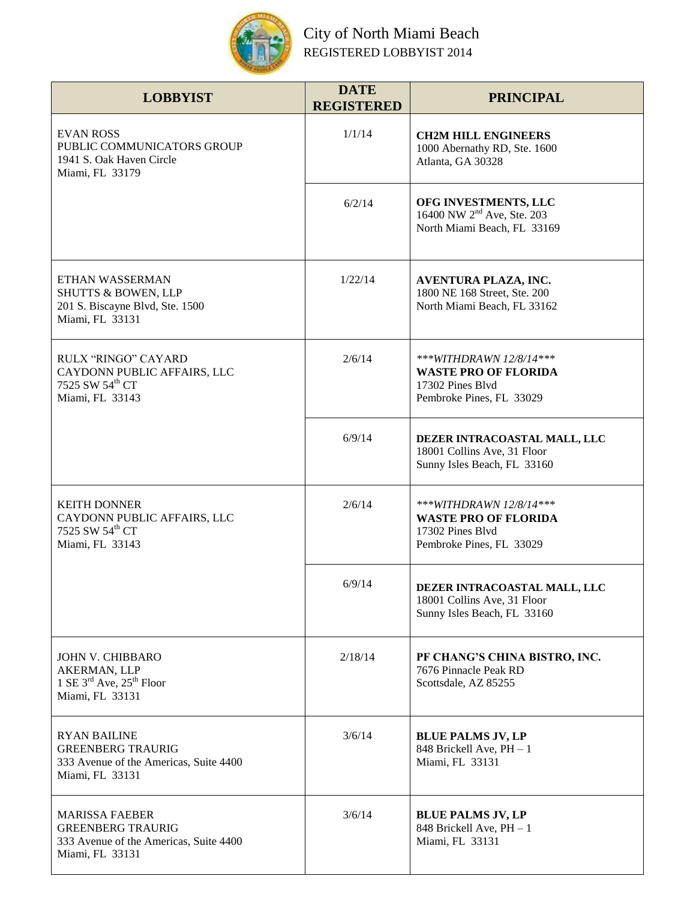

## City of North Miami Beach REGISTERED LOBBYIST 2014

| <b>LOBBYIST</b>                                                                                                | <b>DATE</b><br><b>REGISTERED</b> | <b>PRINCIPAL</b>                                                                                       |
|----------------------------------------------------------------------------------------------------------------|----------------------------------|--------------------------------------------------------------------------------------------------------|
| <b>EVAN ROSS</b><br>PUBLIC COMMUNICATORS GROUP<br>1941 S. Oak Haven Circle<br>Miami, FL 33179                  | 1/1/14                           | <b>CH2M HILL ENGINEERS</b><br>1000 Abernathy RD, Ste. 1600<br>Atlanta, GA 30328                        |
|                                                                                                                | 6/2/14                           | OFG INVESTMENTS, LLC<br>16400 NW 2 <sup>nd</sup> Ave, Ste. 203<br>North Miami Beach, FL 33169          |
| ETHAN WASSERMAN<br><b>SHUTTS &amp; BOWEN, LLP</b><br>201 S. Biscayne Blvd, Ste. 1500<br>Miami, FL 33131        | 1/22/14                          | AVENTURA PLAZA, INC.<br>1800 NE 168 Street, Ste. 200<br>North Miami Beach, FL 33162                    |
| RULX "RINGO" CAYARD<br>CAYDONN PUBLIC AFFAIRS, LLC<br>7525 SW 54 <sup>th</sup> CT<br>Miami, FL 33143           | 2/6/14                           | ***WITHDRAWN 12/8/14***<br><b>WASTE PRO OF FLORIDA</b><br>17302 Pines Blvd<br>Pembroke Pines, FL 33029 |
|                                                                                                                | 6/9/14                           | DEZER INTRACOASTAL MALL, LLC<br>18001 Collins Ave, 31 Floor<br>Sunny Isles Beach, FL 33160             |
| <b>KEITH DONNER</b><br>CAYDONN PUBLIC AFFAIRS, LLC<br>7525 SW 54th CT<br>Miami, FL 33143                       | 2/6/14                           | ***WITHDRAWN 12/8/14***<br><b>WASTE PRO OF FLORIDA</b><br>17302 Pines Blvd<br>Pembroke Pines, FL 33029 |
|                                                                                                                | 6/9/14                           | DEZER INTRACOASTAL MALL, LLC<br>18001 Collins Ave, 31 Floor<br>Sunny Isles Beach, FL 33160             |
| <b>JOHN V. CHIBBARO</b><br>AKERMAN, LLP<br>1 SE $3^{\text{rd}}$ Ave, $25^{\text{th}}$ Floor<br>Miami, FL 33131 | 2/18/14                          | PF CHANG'S CHINA BISTRO, INC.<br>7676 Pinnacle Peak RD<br>Scottsdale, AZ 85255                         |
| <b>RYAN BAILINE</b><br><b>GREENBERG TRAURIG</b><br>333 Avenue of the Americas, Suite 4400<br>Miami, FL 33131   | 3/6/14                           | <b>BLUE PALMS JV, LP</b><br>848 Brickell Ave, PH - 1<br>Miami, FL 33131                                |
| <b>MARISSA FAEBER</b><br><b>GREENBERG TRAURIG</b><br>333 Avenue of the Americas, Suite 4400<br>Miami, FL 33131 | 3/6/14                           | <b>BLUE PALMS JV, LP</b><br>848 Brickell Ave, PH - 1<br>Miami, FL 33131                                |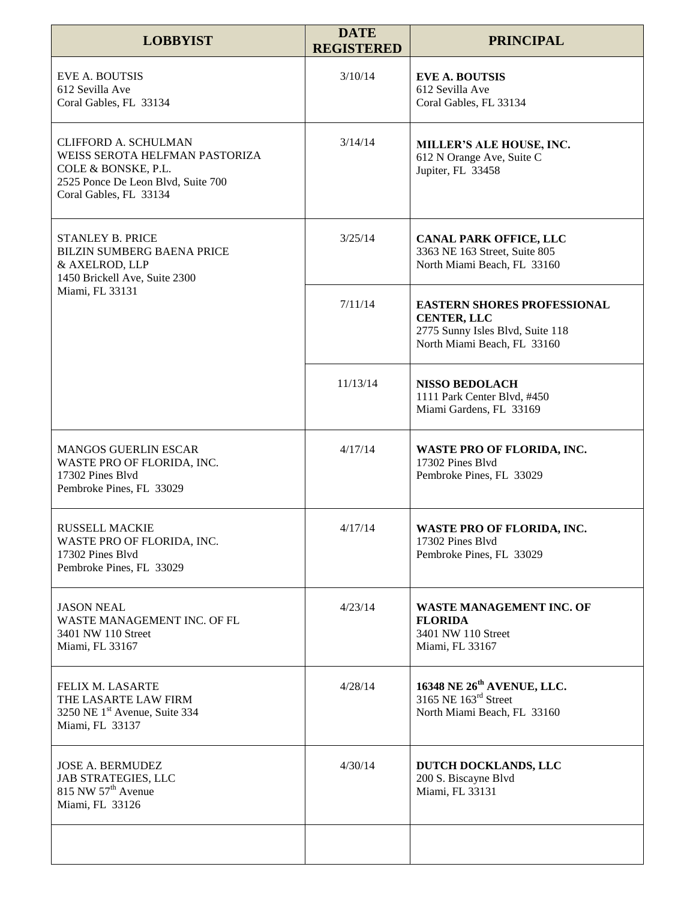| <b>LOBBYIST</b>                                                                                                                                      | <b>DATE</b><br><b>REGISTERED</b> | <b>PRINCIPAL</b>                                                                                                            |
|------------------------------------------------------------------------------------------------------------------------------------------------------|----------------------------------|-----------------------------------------------------------------------------------------------------------------------------|
| <b>EVE A. BOUTSIS</b><br>612 Sevilla Ave<br>Coral Gables, FL 33134                                                                                   | 3/10/14                          | <b>EVE A. BOUTSIS</b><br>612 Sevilla Ave<br>Coral Gables, FL 33134                                                          |
| <b>CLIFFORD A. SCHULMAN</b><br>WEISS SEROTA HELFMAN PASTORIZA<br>COLE & BONSKE, P.L.<br>2525 Ponce De Leon Blvd, Suite 700<br>Coral Gables, FL 33134 | 3/14/14                          | MILLER'S ALE HOUSE, INC.<br>612 N Orange Ave, Suite C<br>Jupiter, FL 33458                                                  |
| <b>STANLEY B. PRICE</b><br><b>BILZIN SUMBERG BAENA PRICE</b><br>& AXELROD, LLP<br>1450 Brickell Ave, Suite 2300<br>Miami, FL 33131                   | 3/25/14                          | <b>CANAL PARK OFFICE, LLC</b><br>3363 NE 163 Street, Suite 805<br>North Miami Beach, FL 33160                               |
|                                                                                                                                                      | 7/11/14                          | <b>EASTERN SHORES PROFESSIONAL</b><br><b>CENTER, LLC</b><br>2775 Sunny Isles Blvd, Suite 118<br>North Miami Beach, FL 33160 |
|                                                                                                                                                      | 11/13/14                         | <b>NISSO BEDOLACH</b><br>1111 Park Center Blvd, #450<br>Miami Gardens, FL 33169                                             |
| <b>MANGOS GUERLIN ESCAR</b><br>WASTE PRO OF FLORIDA, INC.<br>17302 Pines Blvd<br>Pembroke Pines, FL 33029                                            | 4/17/14                          | WASTE PRO OF FLORIDA, INC.<br>17302 Pines Blvd<br>Pembroke Pines, FL 33029                                                  |
| <b>RUSSELL MACKIE</b><br>WASTE PRO OF FLORIDA, INC.<br>17302 Pines Blvd<br>Pembroke Pines, FL 33029                                                  | 4/17/14                          | WASTE PRO OF FLORIDA, INC.<br>17302 Pines Blvd<br>Pembroke Pines, FL 33029                                                  |
| <b>JASON NEAL</b><br>WASTE MANAGEMENT INC. OF FL<br>3401 NW 110 Street<br>Miami, FL 33167                                                            | 4/23/14                          | <b>WASTE MANAGEMENT INC. OF</b><br><b>FLORIDA</b><br>3401 NW 110 Street<br>Miami, FL 33167                                  |
| FELIX M. LASARTE<br>THE LASARTE LAW FIRM<br>3250 NE 1 <sup>st</sup> Avenue, Suite 334<br>Miami, FL 33137                                             | 4/28/14                          | 16348 NE 26 <sup>th</sup> AVENUE, LLC.<br>3165 NE 163 <sup>rd</sup> Street<br>North Miami Beach, FL 33160                   |
| <b>JOSE A. BERMUDEZ</b><br><b>JAB STRATEGIES, LLC</b><br>815 NW 57 <sup>th</sup> Avenue<br>Miami, FL 33126                                           | 4/30/14                          | DUTCH DOCKLANDS, LLC<br>200 S. Biscayne Blvd<br>Miami, FL 33131                                                             |
|                                                                                                                                                      |                                  |                                                                                                                             |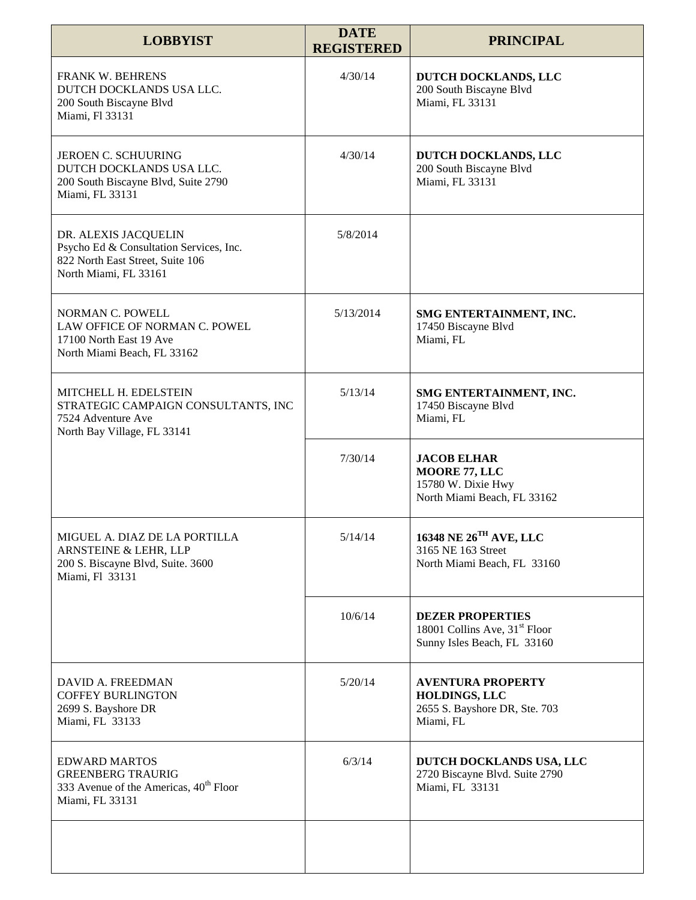| <b>LOBBYIST</b>                                                                                                              | <b>DATE</b><br><b>REGISTERED</b> | <b>PRINCIPAL</b>                                                                                    |
|------------------------------------------------------------------------------------------------------------------------------|----------------------------------|-----------------------------------------------------------------------------------------------------|
| <b>FRANK W. BEHRENS</b><br>DUTCH DOCKLANDS USA LLC.<br>200 South Biscayne Blvd<br>Miami, Fl 33131                            | 4/30/14                          | DUTCH DOCKLANDS, LLC<br>200 South Biscayne Blvd<br>Miami, FL 33131                                  |
| <b>JEROEN C. SCHUURING</b><br>DUTCH DOCKLANDS USA LLC.<br>200 South Biscayne Blvd, Suite 2790<br>Miami, FL 33131             | 4/30/14                          | DUTCH DOCKLANDS, LLC<br>200 South Biscayne Blvd<br>Miami, FL 33131                                  |
| DR. ALEXIS JACQUELIN<br>Psycho Ed & Consultation Services, Inc.<br>822 North East Street, Suite 106<br>North Miami, FL 33161 | 5/8/2014                         |                                                                                                     |
| NORMAN C. POWELL<br>LAW OFFICE OF NORMAN C. POWEL<br>17100 North East 19 Ave<br>North Miami Beach, FL 33162                  | 5/13/2014                        | SMG ENTERTAINMENT, INC.<br>17450 Biscayne Blvd<br>Miami, FL                                         |
| MITCHELL H. EDELSTEIN<br>STRATEGIC CAMPAIGN CONSULTANTS, INC<br>7524 Adventure Ave<br>North Bay Village, FL 33141            | 5/13/14                          | SMG ENTERTAINMENT, INC.<br>17450 Biscayne Blvd<br>Miami, FL                                         |
|                                                                                                                              | 7/30/14                          | <b>JACOB ELHAR</b><br>MOORE 77, LLC<br>15780 W. Dixie Hwy<br>North Miami Beach, FL 33162            |
| MIGUEL A. DIAZ DE LA PORTILLA<br>ARNSTEINE & LEHR, LLP<br>200 S. Biscayne Blvd, Suite. 3600<br>Miami, Fl 33131               | 5/14/14                          | $16348$ NE $26^{\mathrm{TH}}$ AVE, LLC<br>3165 NE 163 Street<br>North Miami Beach, FL 33160         |
|                                                                                                                              | 10/6/14                          | <b>DEZER PROPERTIES</b><br>18001 Collins Ave, 31 <sup>st</sup> Floor<br>Sunny Isles Beach, FL 33160 |
| DAVID A. FREEDMAN<br><b>COFFEY BURLINGTON</b><br>2699 S. Bayshore DR<br>Miami, FL 33133                                      | 5/20/14                          | <b>AVENTURA PROPERTY</b><br><b>HOLDINGS, LLC</b><br>2655 S. Bayshore DR, Ste. 703<br>Miami, FL      |
| <b>EDWARD MARTOS</b><br><b>GREENBERG TRAURIG</b><br>333 Avenue of the Americas, 40 <sup>th</sup> Floor<br>Miami, FL 33131    | 6/3/14                           | DUTCH DOCKLANDS USA, LLC<br>2720 Biscayne Blvd. Suite 2790<br>Miami, FL 33131                       |
|                                                                                                                              |                                  |                                                                                                     |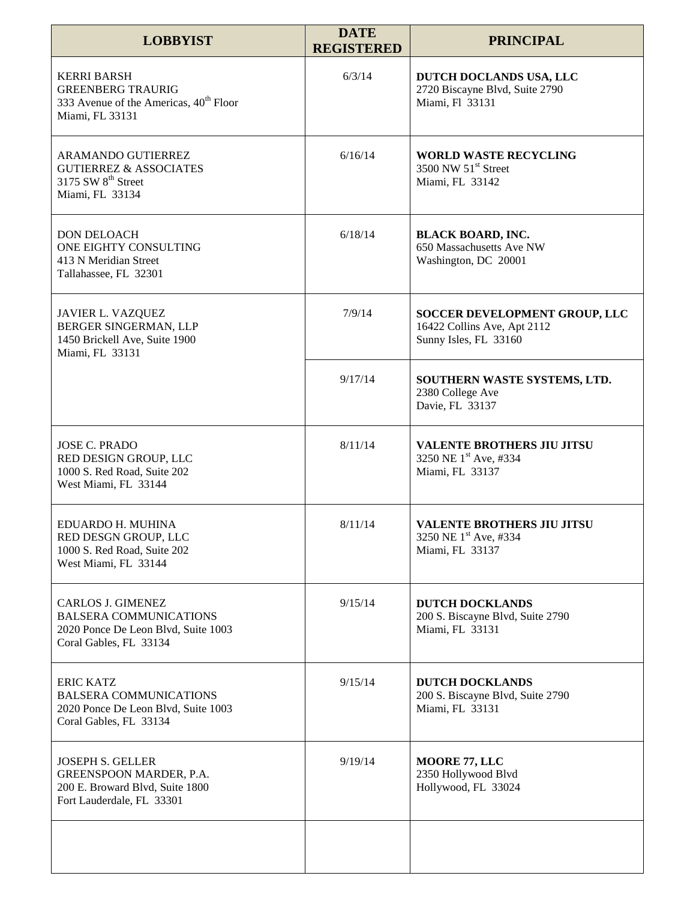| <b>LOBBYIST</b>                                                                                                            | <b>DATE</b><br><b>REGISTERED</b> | <b>PRINCIPAL</b>                                                                      |
|----------------------------------------------------------------------------------------------------------------------------|----------------------------------|---------------------------------------------------------------------------------------|
| <b>KERRI BARSH</b><br><b>GREENBERG TRAURIG</b><br>333 Avenue of the Americas, 40 <sup>th</sup> Floor<br>Miami, FL 33131    | 6/3/14                           | DUTCH DOCLANDS USA, LLC<br>2720 Biscayne Blvd, Suite 2790<br>Miami, Fl 33131          |
| ARAMANDO GUTIERREZ<br><b>GUTIERREZ &amp; ASSOCIATES</b><br>3175 SW 8 <sup>th</sup> Street<br>Miami, FL 33134               | 6/16/14                          | <b>WORLD WASTE RECYCLING</b><br>3500 NW 51 <sup>st</sup> Street<br>Miami, FL 33142    |
| <b>DON DELOACH</b><br>ONE EIGHTY CONSULTING<br>413 N Meridian Street<br>Tallahassee, FL 32301                              | 6/18/14                          | <b>BLACK BOARD, INC.</b><br>650 Massachusetts Ave NW<br>Washington, DC 20001          |
| JAVIER L. VAZQUEZ<br>BERGER SINGERMAN, LLP<br>1450 Brickell Ave, Suite 1900<br>Miami, FL 33131                             | 7/9/14                           | SOCCER DEVELOPMENT GROUP, LLC<br>16422 Collins Ave, Apt 2112<br>Sunny Isles, FL 33160 |
|                                                                                                                            | 9/17/14                          | SOUTHERN WASTE SYSTEMS, LTD.<br>2380 College Ave<br>Davie, FL 33137                   |
| <b>JOSE C. PRADO</b><br>RED DESIGN GROUP, LLC<br>1000 S. Red Road, Suite 202<br>West Miami, FL 33144                       | 8/11/14                          | <b>VALENTE BROTHERS JIU JITSU</b><br>3250 NE 1st Ave, #334<br>Miami, FL 33137         |
| EDUARDO H. MUHINA<br>RED DESGN GROUP, LLC<br>1000 S. Red Road, Suite 202<br>West Miami, FL 33144                           | 8/11/14                          | <b>VALENTE BROTHERS JIU JITSU</b><br>3250 NE 1st Ave, #334<br>Miami, FL 33137         |
| <b>CARLOS J. GIMENEZ</b><br><b>BALSERA COMMUNICATIONS</b><br>2020 Ponce De Leon Blvd, Suite 1003<br>Coral Gables, FL 33134 | 9/15/14                          | <b>DUTCH DOCKLANDS</b><br>200 S. Biscayne Blvd, Suite 2790<br>Miami, FL 33131         |
| <b>ERIC KATZ</b><br><b>BALSERA COMMUNICATIONS</b><br>2020 Ponce De Leon Blvd, Suite 1003<br>Coral Gables, FL 33134         | 9/15/14                          | <b>DUTCH DOCKLANDS</b><br>200 S. Biscayne Blvd, Suite 2790<br>Miami, FL 33131         |
| <b>JOSEPH S. GELLER</b><br>GREENSPOON MARDER, P.A.<br>200 E. Broward Blvd, Suite 1800<br>Fort Lauderdale, FL 33301         | 9/19/14                          | MOORE 77, LLC<br>2350 Hollywood Blvd<br>Hollywood, FL 33024                           |
|                                                                                                                            |                                  |                                                                                       |